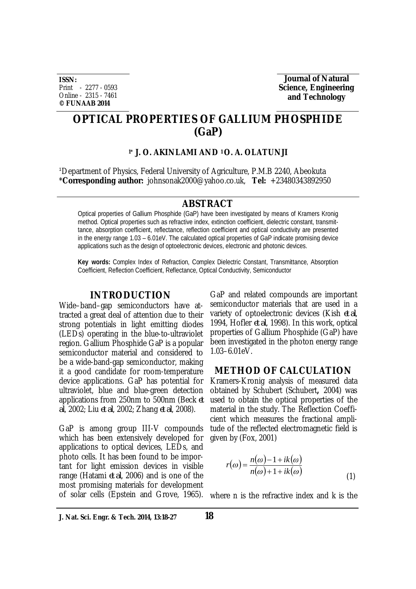**ISSN:** Print - 2277 - 0593 Online - 2315 - 7461 **© FUNAAB 2014**

**Journal of Natural Science, Engineering and Technology** 

# **OPTICAL PROPERTIES OF GALLIUM PHOSPHIDE (GaP)**

## **1\* J. O. AKINLAMI AND 1 O. A. OLATUNJI**

<sup>1</sup>Department of Physics, Federal University of Agriculture, P.M.B 2240, Abeokuta \***Corresponding author:** johnsonak2000@yahoo.co.uk, **Tel:** +23480343892950

### **ABSTRACT**

Optical properties of Gallium Phosphide (GaP) have been investigated by means of Kramers Kronig method. Optical properties such as refractive index, extinction coefficient, dielectric constant, transmittance, absorption coefficient, reflectance, reflection coefficient and optical conductivity are presented in the energy range 1.03 – 6.01eV. The calculated optical properties of GaP indicate promising device applications such as the design of optoelectronic devices, electronic and photonic devices.

**Key words:** Complex Index of Refraction, Complex Dielectric Constant, Transmittance, Absorption Coefficient, Reflection Coefficient, Reflectance, Optical Conductivity, Semiconductor

### **INTRODUCTION**

Wide–band–gap semiconductors have attracted a great deal of attention due to their strong potentials in light emitting diodes (LEDs) operating in the blue-to-ultraviolet region. Gallium Phosphide GaP is a popular semiconductor material and considered to be a wide-band-gap semiconductor, making it a good candidate for room-temperature device applications. GaP has potential for ultraviolet, blue and blue-green detection applications from 250nm to 500nm (Beck *et al*, 2002; Liu *et al*, 2002; Zhang *et al*, 2008).

GaP is among group III-V compounds which has been extensively developed for applications to optical devices, LEDs, and photo cells. It has been found to be important for light emission devices in visible range (Hatami *et al*, 2006) and is one of the most promising materials for development GaP and related compounds are important semiconductor materials that are used in a variety of optoelectronic devices (Kish *et al*, 1994, Hofler *et al*, 1998). In this work, optical properties of Gallium Phosphide (GaP) have been investigated in the photon energy range 1.03–6.01eV.

# **METHOD OF CALCULATION**

Kramers-Kronig analysis of measured data obtained by Schubert (Schubert**,** 2004) was used to obtain the optical properties of the material in the study. The Reflection Coefficient which measures the fractional amplitude of the reflected electromagnetic field is given by (Fox, 2001)

$$
r(\omega) = \frac{n(\omega) - 1 + ik(\omega)}{n(\omega) + 1 + ik(\omega)}
$$
(1)

of solar cells (Epstein and Grove, 1965). where n is the refractive index and k is the

**J. Nat. Sci. Engr. & Tech. 2014, 13:18-27 18**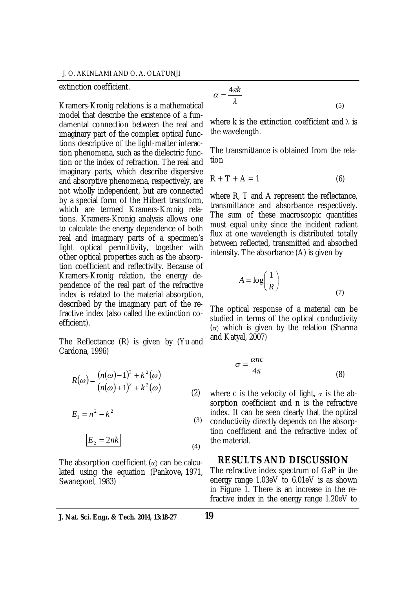#### extinction coefficient.

Kramers-Kronig relations is a mathematical model that describe the existence of a fundamental connection between the real and imaginary part of the complex optical functions descriptive of the light-matter interaction phenomena, such as the dielectric function or the index of refraction. The real and imaginary parts, which describe dispersive and absorptive phenomena, respectively, are not wholly independent, but are connected by a special form of the Hilbert transform, which are termed Kramers-Kronig relations. Kramers-Kronig analysis allows one to calculate the energy dependence of both real and imaginary parts of a specimen's light optical permittivity, together with other optical properties such as the absorption coefficient and reflectivity. Because of Kramers-Kronig relation, the energy dependence of the real part of the refractive index is related to the material absorption, described by the imaginary part of the refractive index (also called the extinction coefficient).

The Reflectance (R) is given by (Yu and Cardona, 1996)

$$
R(\omega) = \frac{(n(\omega) - 1)^2 + k^2(\omega)}{(n(\omega) + 1)^2 + k^2(\omega)}
$$
 (2)

$$
E_1 = n^2 - k^2 \tag{3}
$$

$$
E_2 = 2nk \tag{4}
$$

The absorption coefficient  $(\alpha)$  can be calculated using the equation (Pankove**,** 1971, Swanepoel, 1983)

$$
\alpha = \frac{4\pi k}{\lambda} \tag{5}
$$

where k is the extinction coefficient and  $\lambda$  is the wavelength.

The transmittance is obtained from the relation

$$
R + T + A = 1
$$
 (6)

where R. T and A represent the reflectance. transmittance and absorbance respectively. The sum of these macroscopic quantities must equal unity since the incident radiant flux at one wavelength is distributed totally between reflected, transmitted and absorbed intensity. The absorbance (A) is given by

$$
A = \log\left(\frac{1}{R}\right) \tag{7}
$$

The optical response of a material can be studied in terms of the optical conductivity (σ) which is given by the relation (Sharma and Katyal, 2007)

$$
\sigma = \frac{\alpha n c}{4\pi} \tag{8}
$$

 $\left( \frac{1}{2} \right)$ where c is the velocity of light,  $\alpha$  is the absorption coefficient and n is the refractive index. It can be seen clearly that the optical conductivity directly depends on the absorption coefficient and the refractive index of the material.

# **RESULTS AND DISCUSSION**

The refractive index spectrum of GaP in the energy range 1.03eV to 6.01eV is as shown in Figure 1. There is an increase in the refractive index in the energy range 1.20eV to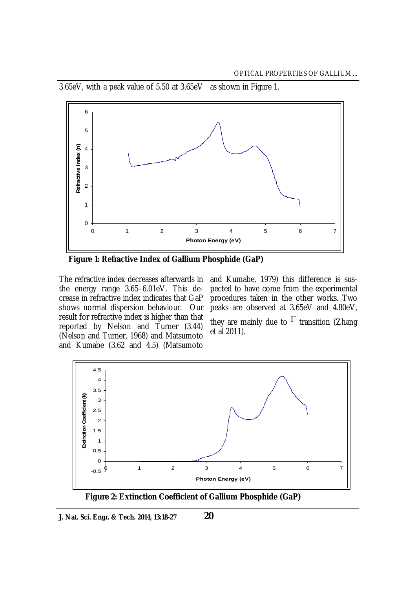

3.65eV, with a peak value of 5.50 at 3.65eV as shown in Figure 1.

 **Figure 1: Refractive Index of Gallium Phosphide (GaP)**

the energy range 3.65–6.01eV. This decrease in refractive index indicates that GaP shows normal dispersion behaviour. Our result for refractive index is higher than that reported by Nelson and Turner (3.44) (Nelson and Turner, 1968) and Matsumoto and Kumabe (3.62 and 4.5) (Matsumoto

The refractive index decreases afterwards in and Kumabe, 1979) this difference is suspected to have come from the experimental procedures taken in the other works. Two peaks are observed at 3.65eV and 4.80eV, they are mainly due to  $\Gamma$  transition (Zhang et al 2011).



 **Figure 2: Extinction Coefficient of Gallium Phosphide (GaP)**

**J. Nat. Sci. Engr. & Tech. 2014, 13:18-27**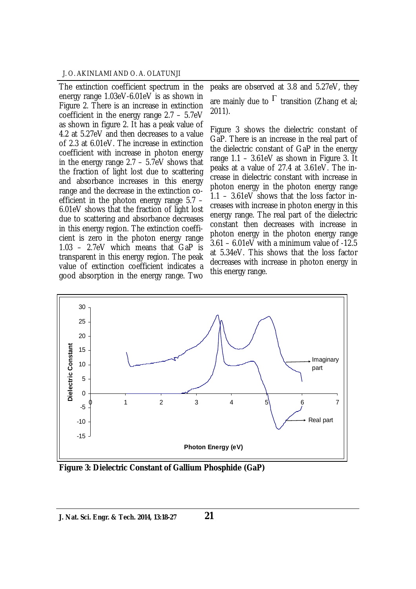### J. O. AKINLAMI AND O. A. OLATUNJI

The extinction coefficient spectrum in the energy range 1.03eV-6.01eV is as shown in Figure 2. There is an increase in extinction coefficient in the energy range 2.7 – 5.7eV as shown in figure 2. It has a peak value of 4.2 at 5.27eV and then decreases to a value of 2.3 at 6.01eV. The increase in extinction coefficient with increase in photon energy in the energy range 2.7 – 5.7eV shows that the fraction of light lost due to scattering and absorbance increases in this energy range and the decrease in the extinction coefficient in the photon energy range 5.7 – 6.01eV shows that the fraction of light lost due to scattering and absorbance decreases in this energy region. The extinction coefficient is zero in the photon energy range 1.03 – 2.7eV which means that GaP is transparent in this energy region. The peak value of extinction coefficient indicates a good absorption in the energy range. Two

peaks are observed at 3.8 and 5.27eV, they are mainly due to  $\mathsf{\Gamma}$  transition (Zhang et al; 2011).

Figure 3 shows the dielectric constant of GaP. There is an increase in the real part of the dielectric constant of GaP in the energy range 1.1 – 3.61eV as shown in Figure 3. It peaks at a value of 27.4 at 3.61eV. The increase in dielectric constant with increase in photon energy in the photon energy range 1.1 – 3.61eV shows that the loss factor increases with increase in photon energy in this energy range. The real part of the dielectric constant then decreases with increase in photon energy in the photon energy range 3.61 – 6.01eV with a minimum value of -12.5 at 5.34eV. This shows that the loss factor decreases with increase in photon energy in this energy range.



**Figure 3: Dielectric Constant of Gallium Phosphide (GaP)**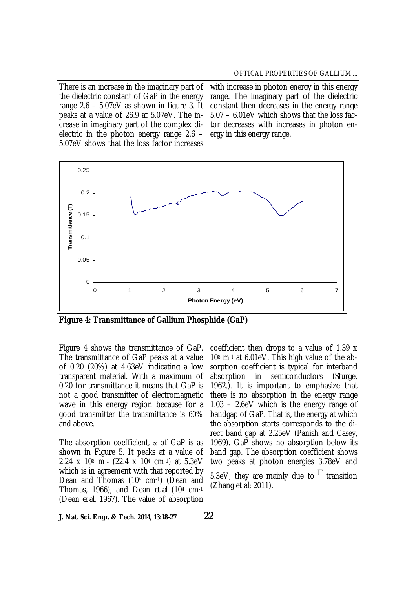There is an increase in the imaginary part of the dielectric constant of GaP in the energy range 2.6 – 5.07eV as shown in figure 3. It peaks at a value of 26.9 at 5.07eV. The increase in imaginary part of the complex dielectric in the photon energy range 2.6 – 5.07eV shows that the loss factor increases

with increase in photon energy in this energy range. The imaginary part of the dielectric constant then decreases in the energy range 5.07 – 6.01eV which shows that the loss factor decreases with increases in photon energy in this energy range.



**Figure 4: Transmittance of Gallium Phosphide (GaP)** 

Figure 4 shows the transmittance of GaP. The transmittance of GaP peaks at a value of 0.20 (20%) at 4.63eV indicating a low transparent material. With a maximum of 0.20 for transmittance it means that GaP is not a good transmitter of electromagnetic wave in this energy region because for a good transmitter the transmittance is 60% and above.

The absorption coefficient,  $\alpha$  of GaP is as shown in Figure 5. It peaks at a value of 2.24 x 10<sup>8</sup> m-1 (22.4 x 10<sup>4</sup> cm-1) at 5.3eV which is in agreement with that reported by Dean and Thomas (10<sup>4</sup> cm-1) (Dean and Thomas, 1966), and Dean *et al* (10<sup>4</sup> cm-1 (Dean *et al*, 1967). The value of absorption

coefficient then drops to a value of 1.39 x 10<sup>8</sup> m-1 at 6.01eV. This high value of the absorption coefficient is typical for interband absorption in semiconductors (Sturge, 1962.). It is important to emphasize that there is no absorption in the energy range 1.03 – 2.6eV which is the energy range of bandgap of GaP. That is, the energy at which the absorption starts corresponds to the direct band gap at 2.25eV (Panish and Casey, 1969). GaP shows no absorption below its band gap. The absorption coefficient shows two peaks at photon energies 3.78eV and

5.3eV, they are mainly due to  $\Gamma$  transition (Zhang et al; 2011).

**J. Nat. Sci. Engr. & Tech. 2014, 13:18-27**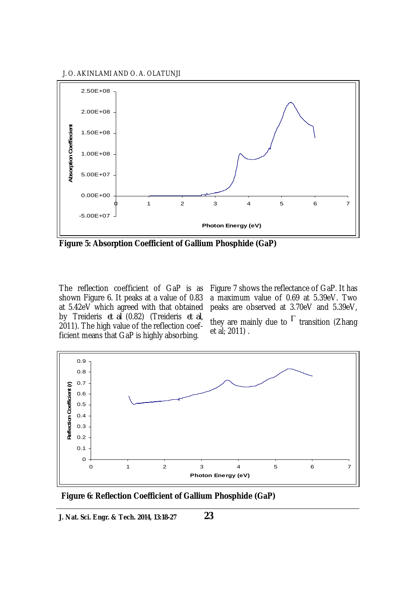J. O. AKINLAMI AND O. A. OLATUNJI



**Figure 5: Absorption Coefficient of Gallium Phosphide (GaP)**

The reflection coefficient of GaP is as shown Figure 6. It peaks at a value of 0.83 at 5.42eV which agreed with that obtained by Treideris *et al* (0.82) (Treideris *et al*, 2011). The high value of the reflection coefficient means that GaP is highly absorbing.

Figure 7 shows the reflectance of GaP. It has a maximum value of 0.69 at 5.39eV. Two peaks are observed at 3.70eV and 5.39eV, they are mainly due to  $\Gamma$  transition (Zhang et al; 2011) .



**Figure 6: Reflection Coefficient of Gallium Phosphide (GaP)**

**J. Nat. Sci. Engr. & Tech. 2014, 13:18-27**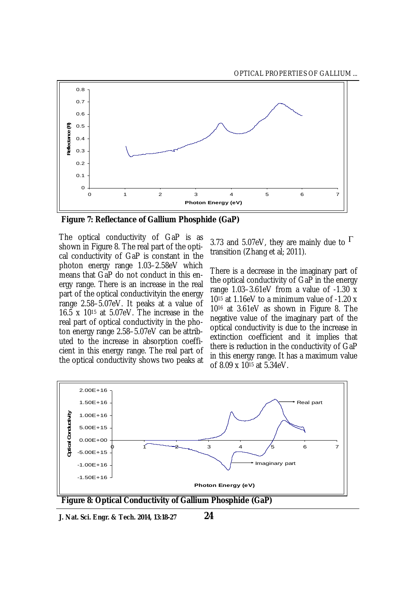

**Figure 7: Reflectance of Gallium Phosphide (GaP)**

The optical conductivity of GaP is as shown in Figure 8. The real part of the optical conductivity of GaP is constant in the photon energy range 1.03–2.58eV which means that GaP do not conduct in this energy range. There is an increase in the real part of the optical conductivityin the energy range 2.58–5.07eV. It peaks at a value of 16.5 x 10<sup>15</sup> at 5.07eV. The increase in the real part of optical conductivity in the photon energy range 2.58–5.07eV can be attributed to the increase in absorption coefficient in this energy range. The real part of the optical conductivity shows two peaks at

3.73 and 5.07eV, they are mainly due to  $\Gamma$ transition (Zhang et al; 2011).

There is a decrease in the imaginary part of the optical conductivity of GaP in the energy range 1.03–3.61eV from a value of -1.30 x 10<sup>15</sup> at 1.16eV to a minimum value of -1.20 x 10<sup>16</sup> at 3.61eV as shown in Figure 8. The negative value of the imaginary part of the optical conductivity is due to the increase in extinction coefficient and it implies that there is reduction in the conductivity of GaP in this energy range. It has a maximum value of 8.09 x 10<sup>15</sup> at 5.34eV.



**J. Nat. Sci. Engr. & Tech. 2014, 13:18-27**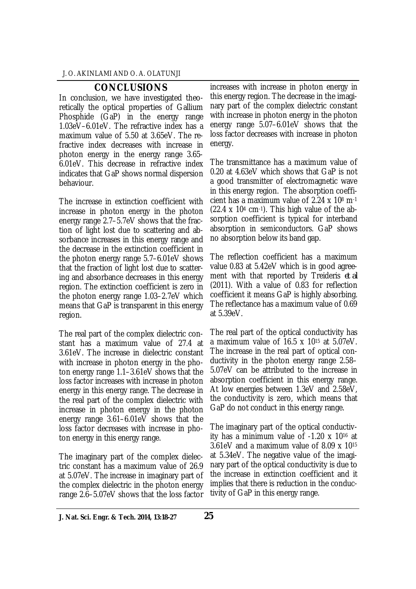# **CONCLUSIONS**

In conclusion, we have investigated theoretically the optical properties of Gallium Phosphide (GaP) in the energy range 1.03eV–6.01eV. The refractive index has a maximum value of 5.50 at 3.65eV. The refractive index decreases with increase in photon energy in the energy range 3.65- 6.01eV. This decrease in refractive index indicates that GaP shows normal dispersion behaviour.

The increase in extinction coefficient with increase in photon energy in the photon energy range 2.7–5.7eV shows that the fraction of light lost due to scattering and absorbance increases in this energy range and the decrease in the extinction coefficient in the photon energy range 5.7–6.01eV shows that the fraction of light lost due to scattering and absorbance decreases in this energy region. The extinction coefficient is zero in the photon energy range 1.03–2.7eV which means that GaP is transparent in this energy region.

The real part of the complex dielectric constant has a maximum value of 27.4 at 3.61eV. The increase in dielectric constant with increase in photon energy in the photon energy range 1.1–3.61eV shows that the loss factor increases with increase in photon energy in this energy range. The decrease in the real part of the complex dielectric with increase in photon energy in the photon energy range 3.61–6.01eV shows that the loss factor decreases with increase in photon energy in this energy range.

The imaginary part of the complex dielectric constant has a maximum value of 26.9 at 5.07eV. The increase in imaginary part of the complex dielectric in the photon energy range 2.6–5.07eV shows that the loss factor increases with increase in photon energy in this energy region. The decrease in the imaginary part of the complex dielectric constant with increase in photon energy in the photon energy range 5.07–6.01eV shows that the loss factor decreases with increase in photon energy.

The transmittance has a maximum value of 0.20 at 4.63eV which shows that GaP is not a good transmitter of electromagnetic wave in this energy region. The absorption coefficient has a maximum value of 2.24 x 10<sup>8</sup> m-1  $(22.4 \times 10<sup>4</sup>$  cm<sup>-1</sup>). This high value of the absorption coefficient is typical for interband absorption in semiconductors. GaP shows no absorption below its band gap.

The reflection coefficient has a maximum value 0.83 at 5.42eV which is in good agreement with that reported by Treideris *et al* (2011). With a value of 0.83 for reflection coefficient it means GaP is highly absorbing. The reflectance has a maximum value of 0.69 at 5.39eV.

The real part of the optical conductivity has a maximum value of 16.5 x 10<sup>15</sup> at 5.07eV. The increase in the real part of optical conductivity in the photon energy range 2.58– 5.07eV can be attributed to the increase in absorption coefficient in this energy range. At low energies between 1.3eV and 2.58eV, the conductivity is zero, which means that GaP do not conduct in this energy range.

The imaginary part of the optical conductivity has a minimum value of -1.20 x 10<sup>16</sup> at 3.61eV and a maximum value of 8.09 x 10<sup>15</sup> at 5.34eV. The negative value of the imaginary part of the optical conductivity is due to the increase in extinction coefficient and it implies that there is reduction in the conductivity of GaP in this energy range.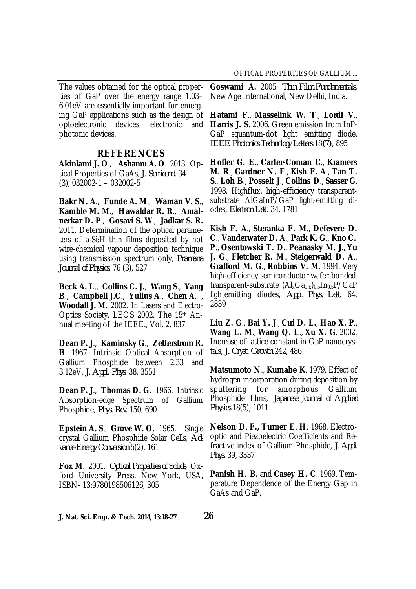The values obtained for the optical properties of GaP over the energy range 1.03– 6.01eV are essentially important for emerging GaP applications such as the design of optoelectronic devices, electronic and photonic devices.

# **REFERENCES**

**Akinlami J. O**., **Ashamu A. O**. 2013. Optical Properties of GaAs, *J. Semicond.* 34 (3), 032002-1 – 032002-5

**Bakr N. A**., **Funde A. M**., **Waman V. S**., **Kamble M. M**., **Hawaldar R. R**., **Amalnerkar D. P**., **Gosavi S. W**., **Jadkar S. R.** 2011. Determination of the optical parameters of a-Si:H thin films deposited by hot wire-chemical vapour deposition technique using transmission spectrum only, *Pramana Journal of Physics*, 76 (3), 527

**Beck A. L**., **Collins C. J.**, **Wang S**., **Yang B**., **Campbell J.C**., **Yulius A**., **Chen A**. , **Woodall J. M**. 2002. In Lasers and Electro-Optics Society, LEOS 2002. The 15th Annual meeting of the IEEE., Vol. 2, 837

**Dean P. J**., **Kaminsky G**., **Zetterstrom R. B**. 1967. Intrinsic Optical Absorption of Gallium Phosphide between 2.33 and 3.12eV, *J. Appl. Phys*. 38, 3551

**Dean P. J**., **Thomas D. G**. 1966. Intrinsic Absorption-edge Spectrum of Gallium Phosphide, *Phys. Rev.* 150, 690

**Epstein A. S**., **Grove W. O**. 1965. Single crystal Gallium Phosphide Solar Cells, *Advance Energy Conversion* 5(2), 161

**Fox M**. 2001. *Optical Properties of Solids*, Oxford University Press, New York, USA, ISBN- 13:9780198506126, 305

**Goswami A.** 2005. *Thin Film Fundamentals*, New Age International, New Delhi, India.

**Hatami F**., **Masselink W. T**., **Lordi V**., **Harris J. S**. 2006. Green emission from InP-GaP squantum-dot light emitting diode, *IEEE Photonics Technology Letters* 18**(7)**, 895

**Hofler G. E**., **Carter-Coman C**., **Kramers M. R**., **Gardner N. F**., **Kish F. A**., **Tan T. S**., **Loh B**., **Posselt J**., **Collins D**., **Sasser G**. 1998. Highflux, high-efficiency transparentsubstrate AlGaInP/GaP light-emitting diodes, *Electron Lett*. 34, 1781

**Kish F. A**., **Steranka F. M**., **Defevere D. C**., **Vanderwater D. A**., **Park K. G**., **Kuo C. P**., **Osentowski T. D**., **Peanasky M. J**., **Yu J. G**., **Fletcher R. M**., **Steigerwald D. A**., **Grafford M. G**., **Robbins V. M**. 1994. Very high-efficiency semiconductor wafer-bonded transparent-substrate  $(Al_xGa_{1-x})_{0.5}In_{0.5}P/GaP$ lightemitting diodes, *Appl. Phys. Lett*. 64, 2839

**Liu Z. G**., **Bai Y. J**., **Cui D. L.**, **Hao X. P**., **Wang L. M**., **Wang Q. L**., **Xu X. G**. 2002. Increase of lattice constant in GaP nanocrystals, *J. Cryst. Growth* 242, 486

**Matsumoto N**., **Kumabe K**. 1979. Effect of hydrogen incorporation during deposition by sputtering for amorphous Gallium Phosphide films, *Japanese Journal of Applied Physics* 18(5), 1011

**Nelson D**. **F., Turner E**. **H**. 1968. Electrooptic and Piezoelectric Coefficients and Refractive index of Gallium Phosphide, *J. Appl. Phys*. 39, 3337

**Panish H. B.** and **Casey H. C**. 1969. Temperature Dependence of the Energy Gap in GaAs and GaP,

**J. Nat. Sci. Engr. & Tech. 2014, 13:18-27 26**